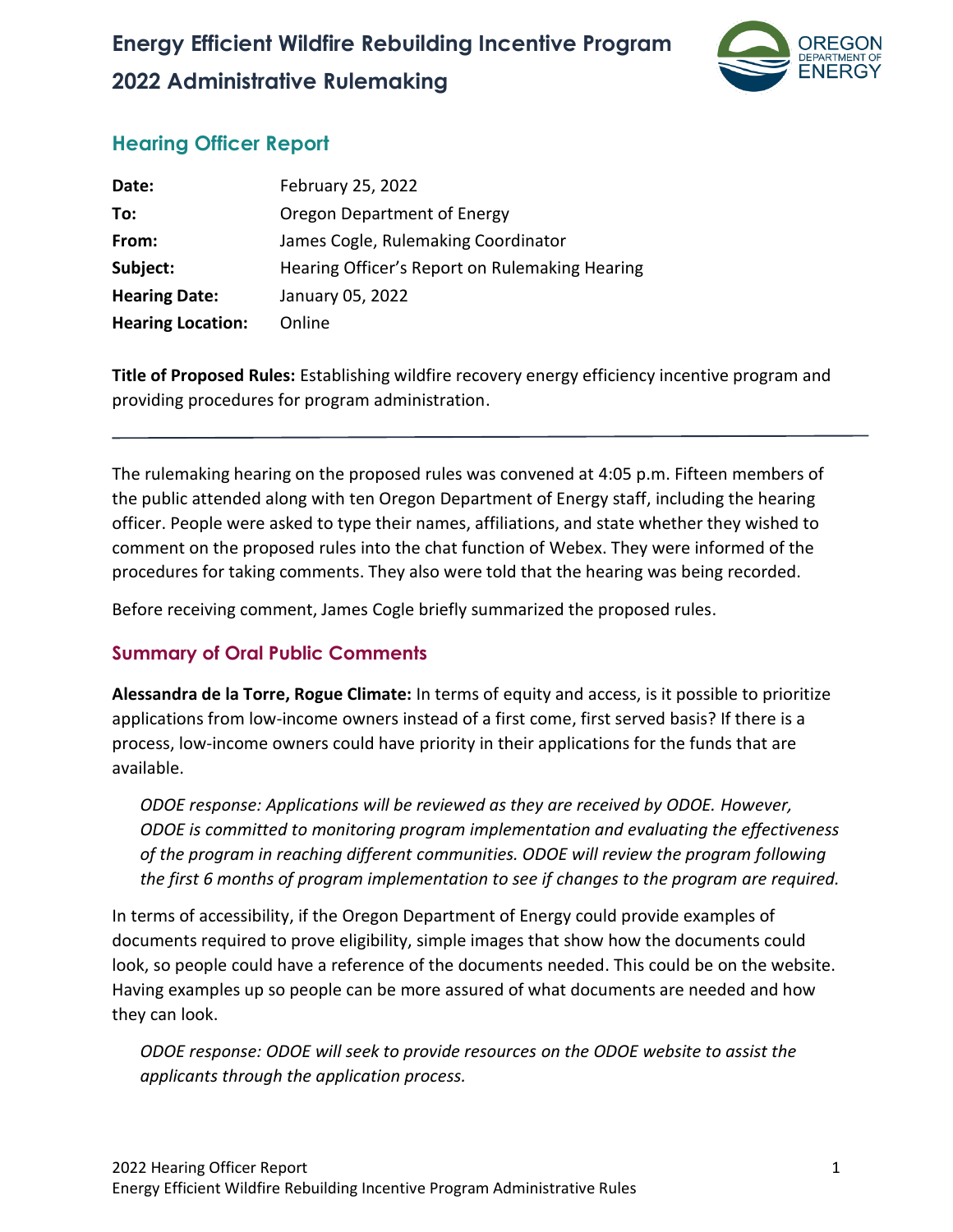

## **Hearing Officer Report**

| Date:                    | February 25, 2022                              |
|--------------------------|------------------------------------------------|
| To:                      | Oregon Department of Energy                    |
| From:                    | James Cogle, Rulemaking Coordinator            |
| Subject:                 | Hearing Officer's Report on Rulemaking Hearing |
| <b>Hearing Date:</b>     | January 05, 2022                               |
| <b>Hearing Location:</b> | Online                                         |

**Title of Proposed Rules:** Establishing wildfire recovery energy efficiency incentive program and providing procedures for program administration.

The rulemaking hearing on the proposed rules was convened at 4:05 p.m. Fifteen members of the public attended along with ten Oregon Department of Energy staff, including the hearing officer. People were asked to type their names, affiliations, and state whether they wished to comment on the proposed rules into the chat function of Webex. They were informed of the procedures for taking comments. They also were told that the hearing was being recorded.

Before receiving comment, James Cogle briefly summarized the proposed rules.

## **Summary of Oral Public Comments**

**Alessandra de la Torre, Rogue Climate:** In terms of equity and access, is it possible to prioritize applications from low-income owners instead of a first come, first served basis? If there is a process, low-income owners could have priority in their applications for the funds that are available.

*ODOE response: Applications will be reviewed as they are received by ODOE. However, ODOE is committed to monitoring program implementation and evaluating the effectiveness of the program in reaching different communities. ODOE will review the program following the first 6 months of program implementation to see if changes to the program are required.*

In terms of accessibility, if the Oregon Department of Energy could provide examples of documents required to prove eligibility, simple images that show how the documents could look, so people could have a reference of the documents needed. This could be on the website. Having examples up so people can be more assured of what documents are needed and how they can look.

*ODOE response: ODOE will seek to provide resources on the ODOE website to assist the applicants through the application process.*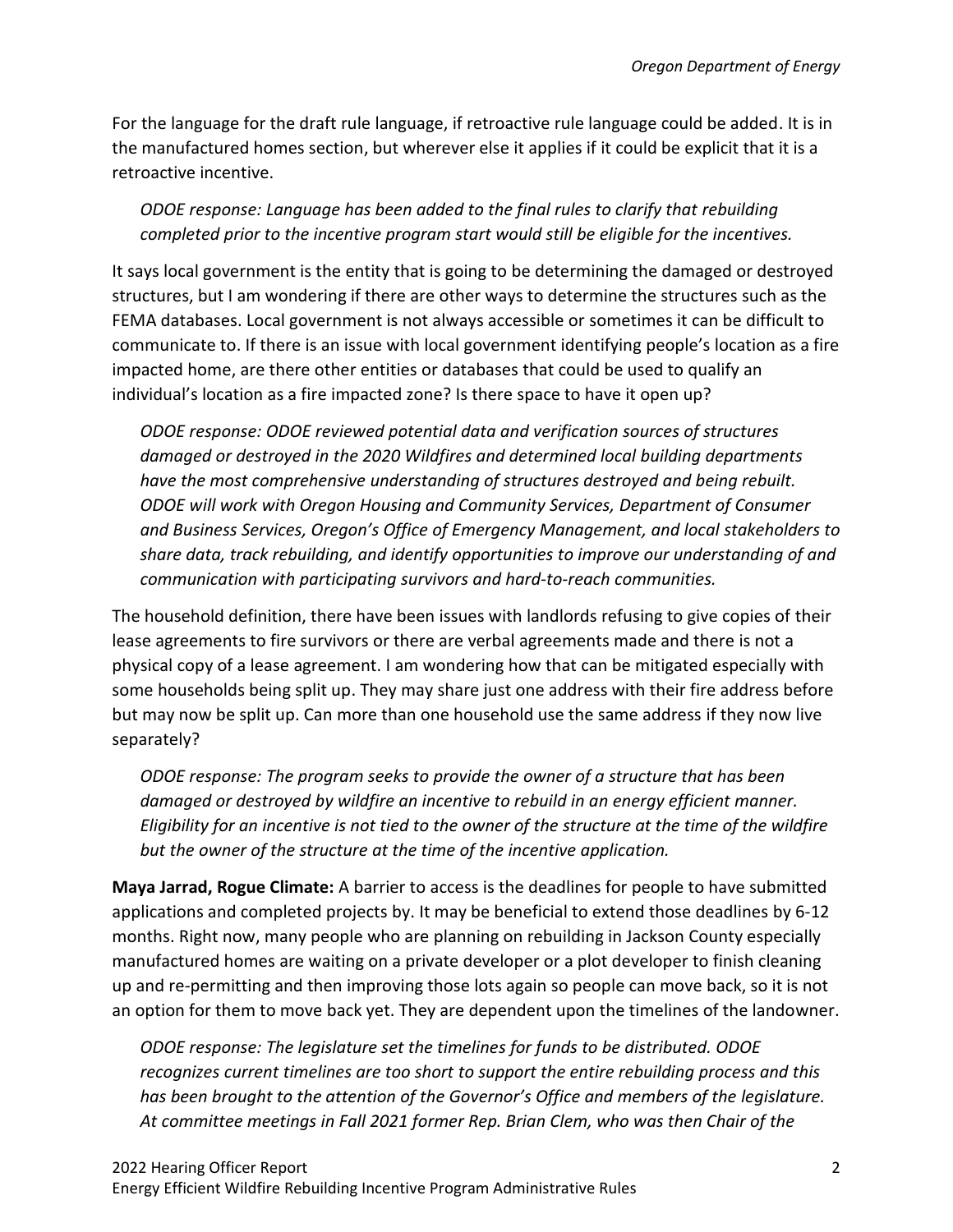For the language for the draft rule language, if retroactive rule language could be added. It is in the manufactured homes section, but wherever else it applies if it could be explicit that it is a retroactive incentive.

*ODOE response: Language has been added to the final rules to clarify that rebuilding completed prior to the incentive program start would still be eligible for the incentives.*

It says local government is the entity that is going to be determining the damaged or destroyed structures, but I am wondering if there are other ways to determine the structures such as the FEMA databases. Local government is not always accessible or sometimes it can be difficult to communicate to. If there is an issue with local government identifying people's location as a fire impacted home, are there other entities or databases that could be used to qualify an individual's location as a fire impacted zone? Is there space to have it open up?

*ODOE response: ODOE reviewed potential data and verification sources of structures damaged or destroyed in the 2020 Wildfires and determined local building departments have the most comprehensive understanding of structures destroyed and being rebuilt. ODOE will work with Oregon Housing and Community Services, Department of Consumer and Business Services, Oregon's Office of Emergency Management, and local stakeholders to share data, track rebuilding, and identify opportunities to improve our understanding of and communication with participating survivors and hard-to-reach communities.* 

The household definition, there have been issues with landlords refusing to give copies of their lease agreements to fire survivors or there are verbal agreements made and there is not a physical copy of a lease agreement. I am wondering how that can be mitigated especially with some households being split up. They may share just one address with their fire address before but may now be split up. Can more than one household use the same address if they now live separately?

*ODOE response: The program seeks to provide the owner of a structure that has been damaged or destroyed by wildfire an incentive to rebuild in an energy efficient manner. Eligibility for an incentive is not tied to the owner of the structure at the time of the wildfire but the owner of the structure at the time of the incentive application.*

**Maya Jarrad, Rogue Climate:** A barrier to access is the deadlines for people to have submitted applications and completed projects by. It may be beneficial to extend those deadlines by 6-12 months. Right now, many people who are planning on rebuilding in Jackson County especially manufactured homes are waiting on a private developer or a plot developer to finish cleaning up and re-permitting and then improving those lots again so people can move back, so it is not an option for them to move back yet. They are dependent upon the timelines of the landowner.

*ODOE response: The legislature set the timelines for funds to be distributed. ODOE recognizes current timelines are too short to support the entire rebuilding process and this has been brought to the attention of the Governor's Office and members of the legislature. At committee meetings in Fall 2021 former Rep. Brian Clem, who was then Chair of the*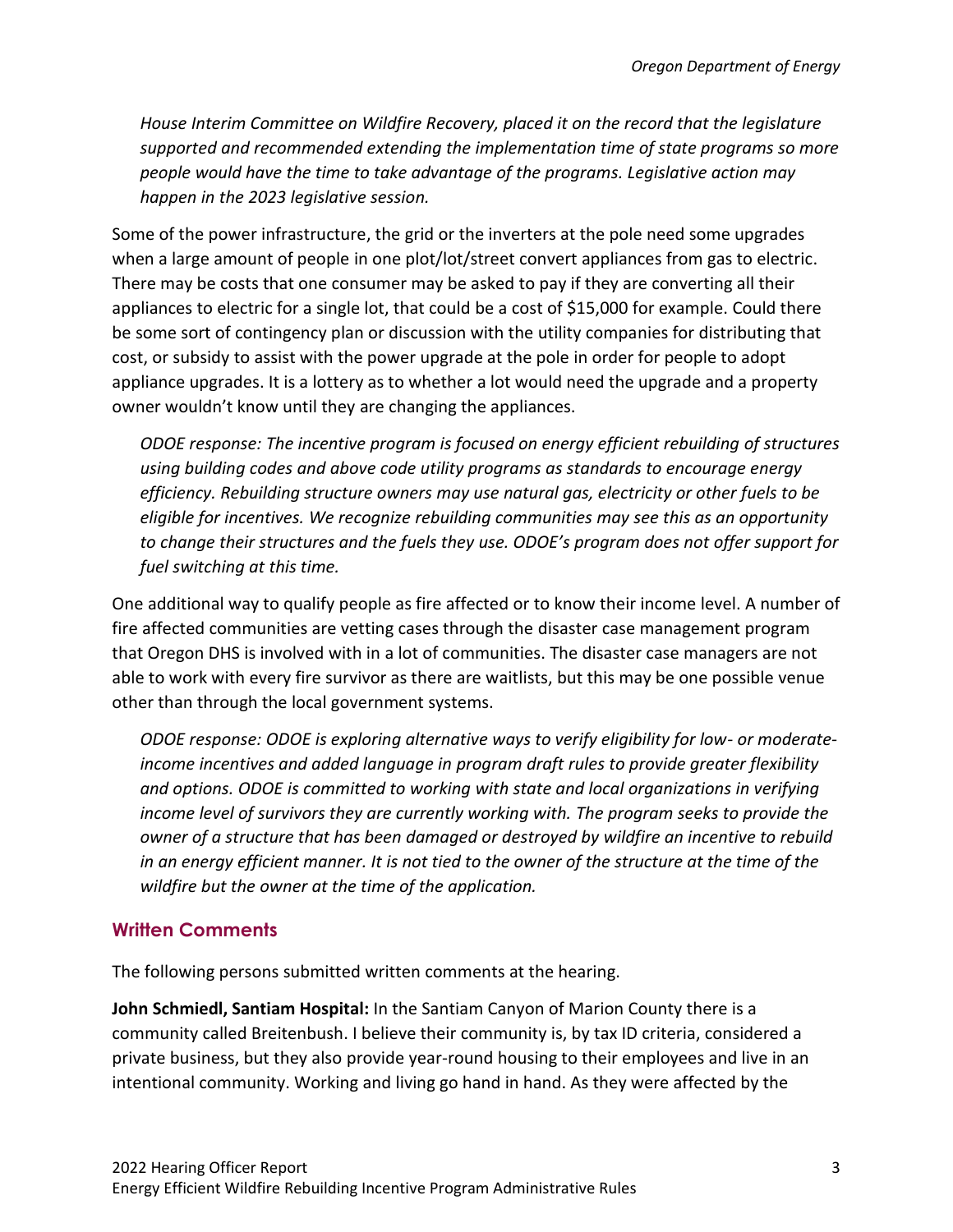*House Interim Committee on Wildfire Recovery, placed it on the record that the legislature supported and recommended extending the implementation time of state programs so more people would have the time to take advantage of the programs. Legislative action may happen in the 2023 legislative session.*

Some of the power infrastructure, the grid or the inverters at the pole need some upgrades when a large amount of people in one plot/lot/street convert appliances from gas to electric. There may be costs that one consumer may be asked to pay if they are converting all their appliances to electric for a single lot, that could be a cost of \$15,000 for example. Could there be some sort of contingency plan or discussion with the utility companies for distributing that cost, or subsidy to assist with the power upgrade at the pole in order for people to adopt appliance upgrades. It is a lottery as to whether a lot would need the upgrade and a property owner wouldn't know until they are changing the appliances.

*ODOE response: The incentive program is focused on energy efficient rebuilding of structures using building codes and above code utility programs as standards to encourage energy efficiency. Rebuilding structure owners may use natural gas, electricity or other fuels to be eligible for incentives. We recognize rebuilding communities may see this as an opportunity to change their structures and the fuels they use. ODOE's program does not offer support for fuel switching at this time.* 

One additional way to qualify people as fire affected or to know their income level. A number of fire affected communities are vetting cases through the disaster case management program that Oregon DHS is involved with in a lot of communities. The disaster case managers are not able to work with every fire survivor as there are waitlists, but this may be one possible venue other than through the local government systems.

*ODOE response: ODOE is exploring alternative ways to verify eligibility for low- or moderateincome incentives and added language in program draft rules to provide greater flexibility and options. ODOE is committed to working with state and local organizations in verifying income level of survivors they are currently working with. The program seeks to provide the owner of a structure that has been damaged or destroyed by wildfire an incentive to rebuild in an energy efficient manner. It is not tied to the owner of the structure at the time of the wildfire but the owner at the time of the application.*

## **Written Comments**

The following persons submitted written comments at the hearing.

**John Schmiedl, Santiam Hospital:** In the Santiam Canyon of Marion County there is a community called Breitenbush. I believe their community is, by tax ID criteria, considered a private business, but they also provide year-round housing to their employees and live in an intentional community. Working and living go hand in hand. As they were affected by the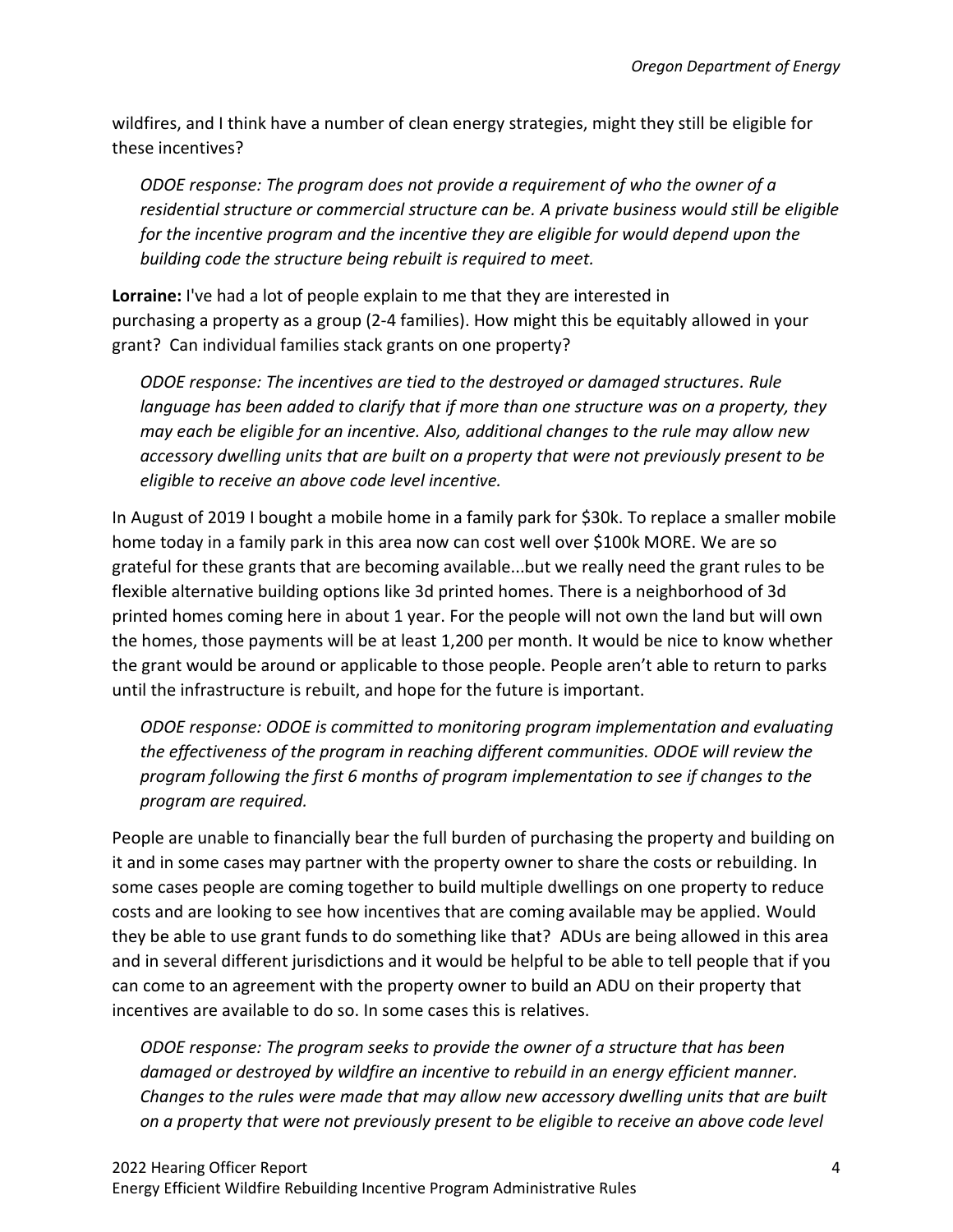wildfires, and I think have a number of clean energy strategies, might they still be eligible for these incentives?

*ODOE response: The program does not provide a requirement of who the owner of a residential structure or commercial structure can be. A private business would still be eligible for the incentive program and the incentive they are eligible for would depend upon the building code the structure being rebuilt is required to meet.*

**Lorraine:** I've had a lot of people explain to me that they are interested in purchasing a property as a group (2-4 families). How might this be equitably allowed in your grant? Can individual families stack grants on one property?

*ODOE response: The incentives are tied to the destroyed or damaged structures. Rule language has been added to clarify that if more than one structure was on a property, they may each be eligible for an incentive. Also, additional changes to the rule may allow new accessory dwelling units that are built on a property that were not previously present to be eligible to receive an above code level incentive.*

In August of 2019 I bought a mobile home in a family park for \$30k. To replace a smaller mobile home today in a family park in this area now can cost well over \$100k MORE. We are so grateful for these grants that are becoming available...but we really need the grant rules to be flexible alternative building options like 3d printed homes. There is a neighborhood of 3d printed homes coming here in about 1 year. For the people will not own the land but will own the homes, those payments will be at least 1,200 per month. It would be nice to know whether the grant would be around or applicable to those people. People aren't able to return to parks until the infrastructure is rebuilt, and hope for the future is important.

*ODOE response: ODOE is committed to monitoring program implementation and evaluating the effectiveness of the program in reaching different communities. ODOE will review the program following the first 6 months of program implementation to see if changes to the program are required.*

People are unable to financially bear the full burden of purchasing the property and building on it and in some cases may partner with the property owner to share the costs or rebuilding. In some cases people are coming together to build multiple dwellings on one property to reduce costs and are looking to see how incentives that are coming available may be applied. Would they be able to use grant funds to do something like that? ADUs are being allowed in this area and in several different jurisdictions and it would be helpful to be able to tell people that if you can come to an agreement with the property owner to build an ADU on their property that incentives are available to do so. In some cases this is relatives.

*ODOE response: The program seeks to provide the owner of a structure that has been damaged or destroyed by wildfire an incentive to rebuild in an energy efficient manner. Changes to the rules were made that may allow new accessory dwelling units that are built on a property that were not previously present to be eligible to receive an above code level*